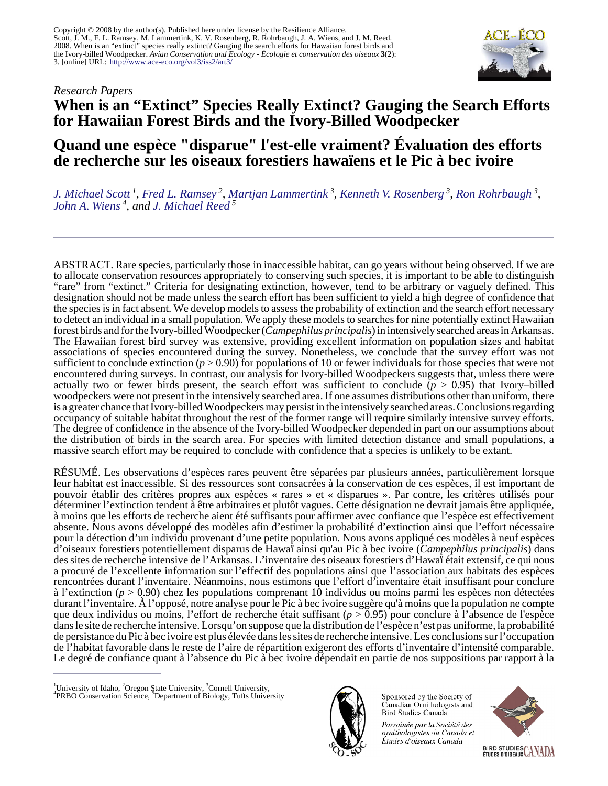Copyright © 2008 by the author(s). Published here under license by the Resilience Alliance. Scott, J. M., F. L. Ramsey, M. Lammertink, K. V. Rosenberg, R. Rohrbaugh, J. A. Wiens, and J. M. Reed. 2008. When is an "extinct" species really extinct? Gauging the search efforts for Hawaiian forest birds and the Ivory-billed Woodpecker. *Avian Conservation and Ecology - Écologie et conservation des oiseaux* **3**(2): 3. [online] URL: <http://www.ace-eco.org/vol3/iss2/art3/>





# **When is an "Extinct" Species Really Extinct? Gauging the Search Efforts for Hawaiian Forest Birds and the Ivory-Billed Woodpecker**

# **Quand une espèce "disparue" l'est-elle vraiment? Évaluation des efforts de recherche sur les oiseaux forestiers hawaïens et le Pic à bec ivoire**

*[J. Michael Scott](mailto:mscott@uidaho.edu)<sup>1</sup> , [Fred L. Ramsey](mailto:flramsey5@comcast.net)<sup>2</sup> , [Martjan Lammertink](mailto:jml243@cornell.edu)<sup>3</sup> , [Kenneth V. Rosenberg](mailto:kyr2@cornell.edu)<sup>3</sup> , [Ron Rohrbaugh](mailto:rwr8@cornell.edu)<sup>3</sup> , [John A. Wiens](mailto:jwiens@prbo.org)<sup>4</sup>, and [J. Michael Reed](mailto:michael.reed@tufts.edu)<sup>5</sup>*

ABSTRACT. Rare species, particularly those in inaccessible habitat, can go years without being observed. If we are to allocate conservation resources appropriately to conserving such species, it is important to be able to distinguish "rare" from "extinct." Criteria for designating extinction, however, tend to be arbitrary or vaguely defined. This designation should not be made unless the search effort has been sufficient to yield a high degree of confidence that the species is in fact absent. We develop models to assess the probability of extinction and the search effort necessary to detect an individual in a small population. We apply these models to searches for nine potentially extinct Hawaiian forest birds and for the Ivory-billed Woodpecker (*Campephilus principalis*) in intensively searched areas in Arkansas. The Hawaiian forest bird survey was extensive, providing excellent information on population sizes and habitat associations of species encountered during the survey. Nonetheless, we conclude that the survey effort was not sufficient to conclude extinction ( $p > 0.90$ ) for populations of 10 or fewer individuals for those species that were not encountered during surveys. In contrast, our analysis for Ivory-billed Woodpeckers suggests that, unless there were actually two or fewer birds present, the search effort was sufficient to conclude  $(p > 0.95)$  that Ivory–billed woodpeckers were not present in the intensively searched area. If one assumes distributions other than uniform, there is a greater chance that Ivory-billed Woodpeckers may persist in the intensively searched areas. Conclusions regarding occupancy of suitable habitat throughout the rest of the former range will require similarly intensive survey efforts. The degree of confidence in the absence of the Ivory-billed Woodpecker depended in part on our assumptions about the distribution of birds in the search area. For species with limited detection distance and small populations, a massive search effort may be required to conclude with confidence that a species is unlikely to be extant.

RÉSUMÉ. Les observations d'espèces rares peuvent être séparées par plusieurs années, particulièrement lorsque leur habitat est inaccessible. Si des ressources sont consacrées à la conservation de ces espèces, il est important de pouvoir établir des critères propres aux espèces « rares » et « disparues ». Par contre, les critères utilisés pour déterminer l'extinction tendent à être arbitraires et plutôt vagues. Cette désignation ne devrait jamais être appliquée, à moins que les efforts de recherche aient été suffisants pour affirmer avec confiance que l'espèce est effectivement absente. Nous avons développé des modèles afin d'estimer la probabilité d'extinction ainsi que l'effort nécessaire pour la détection d'un individu provenant d'une petite population. Nous avons appliqué ces modèles à neuf espèces d'oiseaux forestiers potentiellement disparus de Hawaï ainsi qu'au Pic à bec ivoire (*Campephilus principalis*) dans des sites de recherche intensive de l'Arkansas. L'inventaire des oiseaux forestiers d'Hawaï était extensif, ce qui nous a procuré de l'excellente information sur l'effectif des populations ainsi que l'association aux habitats des espèces rencontrées durant l'inventaire. Néanmoins, nous estimons que l'effort d'inventaire était insuffisant pour conclure à l'extinction (*p* > 0.90) chez les populations comprenant 10 individus ou moins parmi les espèces non détectées durant l'inventaire. À l'opposé, notre analyse pour le Pic à bec ivoire suggère qu'à moins que la population ne compte que deux individus ou moins, l'effort de recherche était suffisant (*p* > 0.95) pour conclure à l'absence de l'espèce dans le site de recherche intensive. Lorsqu'on suppose que la distribution de l'espèce n'est pas uniforme, la probabilité de persistance du Pic à bec ivoire est plus élevée dans les sites de recherche intensive. Les conclusions sur l'occupation de l'habitat favorable dans le reste de l'aire de répartition exigeront des efforts d'inventaire d'intensité comparable. Le degré de confiance quant à l'absence du Pic à bec ivoire dépendait en partie de nos suppositions par rapport à la



Sponsored by the Society of Canadian Ornithologists and Bird Studies Canada

Parrainée par la Société des ornithologistes du Canada et Études d'oiseaux Canada



<sup>&</sup>lt;sup>1</sup>University of Idaho, <sup>2</sup>Oregon State University, <sup>3</sup>Cornell University, <sup>4</sup>PRBO Conservation Science, <sup>5</sup>Department of Biology, Tufts University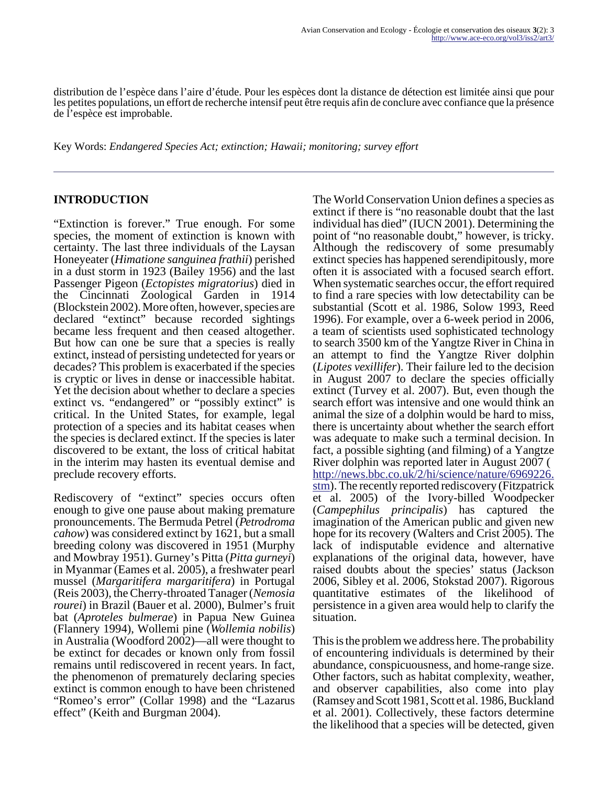distribution de l'espèce dans l'aire d'étude. Pour les espèces dont la distance de détection est limitée ainsi que pour les petites populations, un effort de recherche intensif peut être requis afin de conclure avec confiance que la présence de l'espèce est improbable.

Key Words: *Endangered Species Act; extinction; Hawaii; monitoring; survey effort*

## **INTRODUCTION**

"Extinction is forever." True enough. For some species, the moment of extinction is known with certainty. The last three individuals of the Laysan Honeyeater (*Himatione sanguinea frathii*) perished in a dust storm in 1923 (Bailey 1956) and the last Passenger Pigeon (*Ectopistes migratorius*) died in the Cincinnati Zoological Garden in 1914 (Blockstein 2002). More often, however, species are declared "extinct" because recorded sightings became less frequent and then ceased altogether. But how can one be sure that a species is really extinct, instead of persisting undetected for years or decades? This problem is exacerbated if the species is cryptic or lives in dense or inaccessible habitat. Yet the decision about whether to declare a species extinct vs. "endangered" or "possibly extinct" is critical. In the United States, for example, legal protection of a species and its habitat ceases when the species is declared extinct. If the species is later discovered to be extant, the loss of critical habitat in the interim may hasten its eventual demise and preclude recovery efforts.

Rediscovery of "extinct" species occurs often enough to give one pause about making premature pronouncements. The Bermuda Petrel (*Petrodroma cahow*) was considered extinct by 1621, but a small breeding colony was discovered in 1951 (Murphy and Mowbray 1951). Gurney's Pitta (*Pitta gurneyi*) in Myanmar (Eames et al. 2005), a freshwater pearl mussel (*Margaritifera margaritifera*) in Portugal (Reis 2003), the Cherry-throated Tanager (*Nemosia rourei*) in Brazil (Bauer et al. 2000), Bulmer's fruit bat (*Aproteles bulmerae*) in Papua New Guinea (Flannery 1994), Wollemi pine (*Wollemia nobilis*) in Australia (Woodford 2002)—all were thought to be extinct for decades or known only from fossil remains until rediscovered in recent years. In fact, the phenomenon of prematurely declaring species extinct is common enough to have been christened "Romeo's error" (Collar 1998) and the "Lazarus effect" (Keith and Burgman 2004).

The World Conservation Union defines a species as extinct if there is "no reasonable doubt that the last individual has died" (IUCN 2001). Determining the point of "no reasonable doubt," however, is tricky. Although the rediscovery of some presumably extinct species has happened serendipitously, more often it is associated with a focused search effort. When systematic searches occur, the effort required to find a rare species with low detectability can be substantial (Scott et al. 1986, Solow 1993, Reed 1996). For example, over a 6-week period in 2006, a team of scientists used sophisticated technology to search 3500 km of the Yangtze River in China in an attempt to find the Yangtze River dolphin (*Lipotes vexillifer*). Their failure led to the decision in August 2007 to declare the species officially extinct (Turvey et al. 2007). But, even though the search effort was intensive and one would think an animal the size of a dolphin would be hard to miss, there is uncertainty about whether the search effort was adequate to make such a terminal decision. In fact, a possible sighting (and filming) of a Yangtze River dolphin was reported later in August 2007 ( [http://news.bbc.co.uk/2/hi/science/nature/6969226.](http://https://mail.uidaho.edu/exchweb/bin/redir.asp?URL=http://news.bbc.co.uk/2/hi/science/nature/6969226.stm) [stm](http://https://mail.uidaho.edu/exchweb/bin/redir.asp?URL=http://news.bbc.co.uk/2/hi/science/nature/6969226.stm)). The recently reported rediscovery (Fitzpatrick et al. 2005) of the Ivory-billed Woodpecker (*Campephilus principalis*) has captured the imagination of the American public and given new hope for its recovery (Walters and Crist 2005). The lack of indisputable evidence and alternative explanations of the original data, however, have raised doubts about the species' status (Jackson 2006, Sibley et al. 2006, Stokstad 2007). Rigorous quantitative estimates of the likelihood of persistence in a given area would help to clarify the situation.

This is the problem we address here. The probability of encountering individuals is determined by their abundance, conspicuousness, and home-range size. Other factors, such as habitat complexity, weather, and observer capabilities, also come into play (Ramsey and Scott 1981, Scott et al. 1986, Buckland et al. 2001). Collectively, these factors determine the likelihood that a species will be detected, given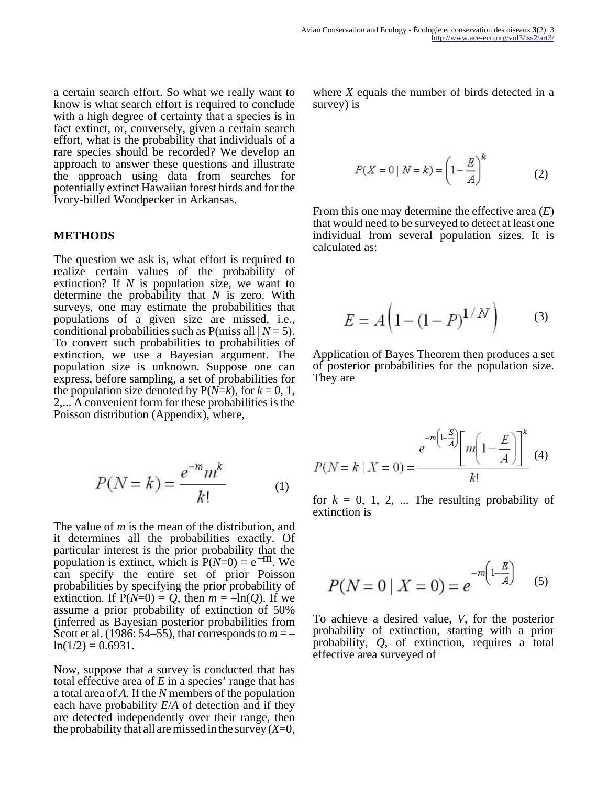a certain search effort. So what we really want to know is what search effort is required to conclude with a high degree of certainty that a species is in fact extinct, or, conversely, given a certain search effort, what is the probability that individuals of a rare species should be recorded? We develop an approach to answer these questions and illustrate the approach using data from searches for potentially extinct Hawaiian forest birds and for the Ivory-billed Woodpecker in Arkansas.

#### **METHODS**

The question we ask is, what effort is required to realize certain values of the probability of extinction? If *N* is population size, we want to determine the probability that *N* is zero. With surveys, one may estimate the probabilities that populations of a given size are missed, i.e., conditional probabilities such as  $P(miss all | N = 5)$ . To convert such probabilities to probabilities of extinction, we use a Bayesian argument. The population size is unknown. Suppose one can express, before sampling, a set of probabilities for the population size denoted by  $P(N=k)$ , for  $k=0, 1$ , 2,... A convenient form for these probabilities is the Poisson distribution (Appendix), where,

$$
P(N=k) = \frac{e^{-m}m^k}{k!} \tag{1}
$$

The value of *m* is the mean of the distribution, and it determines all the probabilities exactly. Of particular interest is the prior probability that the population is extinct, which is  $P(N=0) = e^{-m}$ . We can specify the entire set of prior Poisson probabilities by specifying the prior probability of extinction. If  $P(N=0) = Q$ , then  $m = -\ln(Q)$ . If we assume a prior probability of extinction of 50% (inferred as Bayesian posterior probabilities from Scott et al. (1986: 54–55), that corresponds to  $m =$  $ln(1/2) = 0.6931$ .

Now, suppose that a survey is conducted that has total effective area of *E* in a species' range that has a total area of *A*. If the *N* members of the population each have probability *E*/*A* of detection and if they are detected independently over their range, then the probability that all are missed in the survey  $(X=0,$ 

where *X* equals the number of birds detected in a survey) is

$$
P(X = 0 | N = k) = \left(1 - \frac{E}{A}\right)^k
$$
 (2)

From this one may determine the effective area (*E*) that would need to be surveyed to detect at least one individual from several population sizes. It is calculated as:

$$
E = A \left( 1 - (1 - P)^{1/N} \right) \tag{3}
$$

Application of Bayes Theorem then produces a set of posterior probabilities for the population size. They are

$$
P(N=k \mid X=0) = \frac{e^{-m\left(1-\frac{E}{A}\right)} \left[m\left(1-\frac{E}{A}\right)\right]^k}{k!} \tag{4}
$$

for  $k = 0, 1, 2, \dots$  The resulting probability of extinction is

$$
P(N = 0 | X = 0) = e^{-m\left(1 - \frac{E}{A}\right)}
$$
 (5)

To achieve a desired value, *V*, for the posterior probability of extinction, starting with a prior probability, *Q*, of extinction, requires a total effective area surveyed of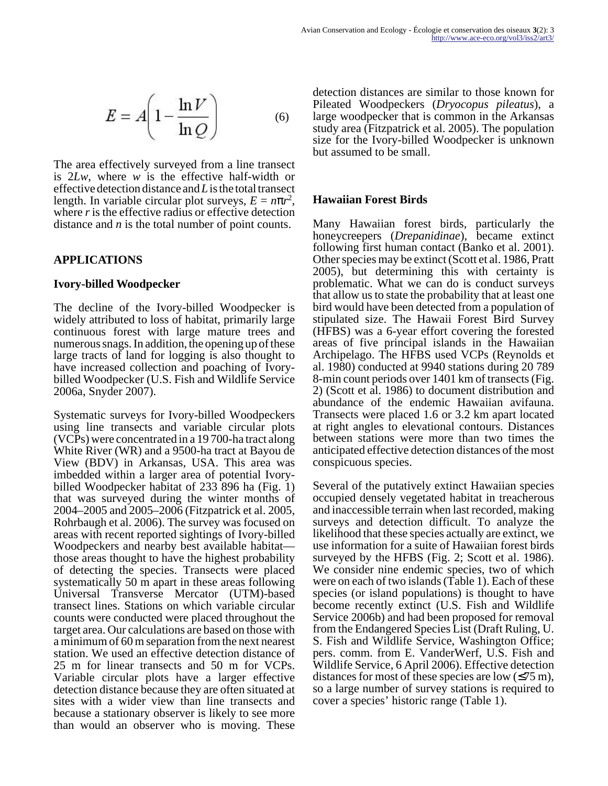$$
E = A \left( 1 - \frac{\ln V}{\ln Q} \right) \tag{6}
$$

The area effectively surveyed from a line transect is 2*Lw*, where *w* is the effective half-width or effective detection distance and *L* is the total transect length. In variable circular plot surveys,  $E = n\pi r^2$ , where  $r$  is the effective radius or effective detection distance and *n* is the total number of point counts.

#### **APPLICATIONS**

#### **Ivory-billed Woodpecker**

The decline of the Ivory-billed Woodpecker is widely attributed to loss of habitat, primarily large continuous forest with large mature trees and numerous snags. In addition, the opening up of these large tracts of land for logging is also thought to have increased collection and poaching of Ivorybilled Woodpecker (U.S. Fish and Wildlife Service 2006a, Snyder 2007).

Systematic surveys for Ivory-billed Woodpeckers using line transects and variable circular plots (VCPs) were concentrated in a 19 700-ha tract along White River (WR) and a 9500-ha tract at Bayou de View (BDV) in Arkansas, USA. This area was imbedded within a larger area of potential Ivorybilled Woodpecker habitat of 233 896 ha (Fig. 1) that was surveyed during the winter months of 2004–2005 and 2005–2006 (Fitzpatrick et al. 2005, Rohrbaugh et al. 2006). The survey was focused on areas with recent reported sightings of Ivory-billed Woodpeckers and nearby best available habitat those areas thought to have the highest probability of detecting the species. Transects were placed systematically 50 m apart in these areas following Universal Transverse Mercator (UTM)-based transect lines. Stations on which variable circular counts were conducted were placed throughout the target area. Our calculations are based on those with a minimum of 60 m separation from the next nearest station. We used an effective detection distance of 25 m for linear transects and 50 m for VCPs. Variable circular plots have a larger effective detection distance because they are often situated at sites with a wider view than line transects and because a stationary observer is likely to see more than would an observer who is moving. These

detection distances are similar to those known for Pileated Woodpeckers (*Dryocopus pileatus*), a large woodpecker that is common in the Arkansas study area (Fitzpatrick et al. 2005). The population size for the Ivory-billed Woodpecker is unknown but assumed to be small.

#### **Hawaiian Forest Birds**

Many Hawaiian forest birds, particularly the honeycreepers (*Drepanidinae*), became extinct following first human contact (Banko et al. 2001). Other species may be extinct (Scott et al. 1986, Pratt 2005), but determining this with certainty is problematic. What we can do is conduct surveys that allow us to state the probability that at least one bird would have been detected from a population of stipulated size. The Hawaii Forest Bird Survey (HFBS) was a 6-year effort covering the forested areas of five principal islands in the Hawaiian Archipelago. The HFBS used VCPs (Reynolds et al. 1980) conducted at 9940 stations during 20 789 8-min count periods over 1401 km of transects (Fig. 2) (Scott et al. 1986) to document distribution and abundance of the endemic Hawaiian avifauna. Transects were placed 1.6 or 3.2 km apart located at right angles to elevational contours. Distances between stations were more than two times the anticipated effective detection distances of the most conspicuous species.

Several of the putatively extinct Hawaiian species occupied densely vegetated habitat in treacherous and inaccessible terrain when last recorded, making surveys and detection difficult. To analyze the likelihood that these species actually are extinct, we use information for a suite of Hawaiian forest birds surveyed by the HFBS (Fig. 2; Scott et al. 1986). We consider nine endemic species, two of which were on each of two islands (Table 1). Each of these species (or island populations) is thought to have become recently extinct (U.S. Fish and Wildlife Service 2006b) and had been proposed for removal from the Endangered Species List (Draft Ruling, U. S. Fish and Wildlife Service, Washington Office; pers. comm. from E. VanderWerf, U.S. Fish and Wildlife Service, 6 April 2006). Effective detection distances for most of these species are low  $(\leq 75 \text{ m})$ , so a large number of survey stations is required to cover a species' historic range (Table 1).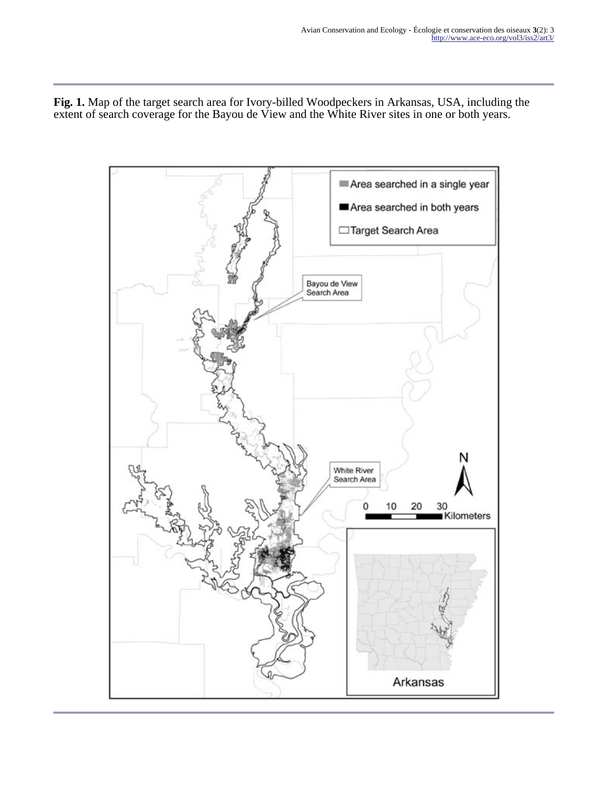**Fig. 1.** Map of the target search area for Ivory-billed Woodpeckers in Arkansas, USA, including the extent of search coverage for the Bayou de View and the White River sites in one or both years.

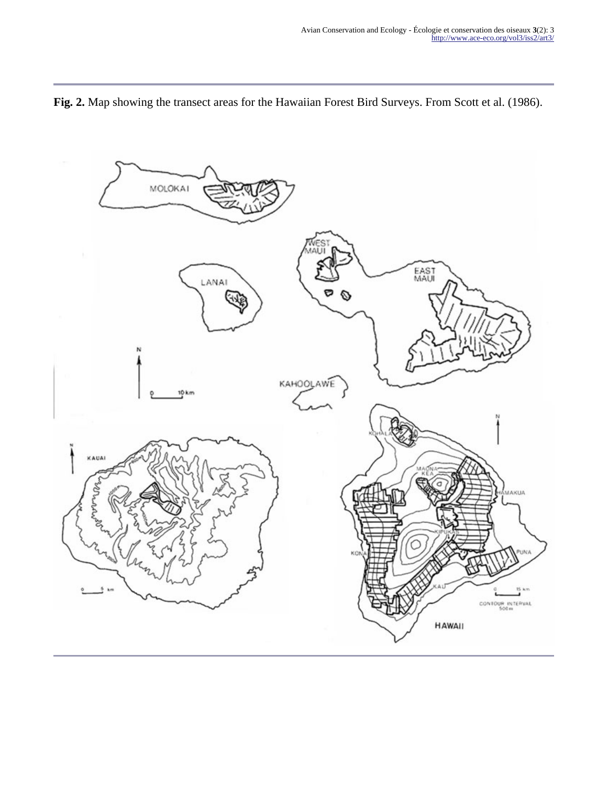

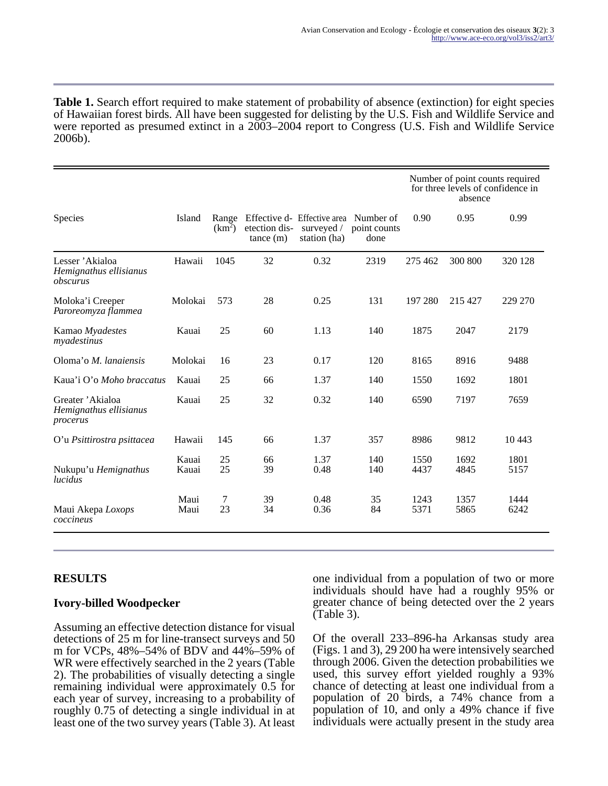**Table 1.** Search effort required to make statement of probability of absence (extinction) for eight species of Hawaiian forest birds. All have been suggested for delisting by the U.S. Fish and Wildlife Service and were reported as presumed extinct in a 2003–2004 report to Congress (U.S. Fish and Wildlife Service 2006b).

|                                                        |                |                   |                           |                                                                     |                      | Number of point counts required<br>for three levels of confidence in<br>absence |              |              |
|--------------------------------------------------------|----------------|-------------------|---------------------------|---------------------------------------------------------------------|----------------------|---------------------------------------------------------------------------------|--------------|--------------|
| <b>Species</b>                                         | Island         | Range<br>$(km^2)$ | etection dis-<br>tance(m) | Effective d- Effective area Number of<br>surveyed /<br>station (ha) | point counts<br>done | 0.90                                                                            | 0.95         | 0.99         |
| Lesser 'Akialoa<br>Hemignathus ellisianus<br>obscurus  | Hawaii         | 1045              | 32                        | 0.32                                                                | 2319                 | 275 462                                                                         | 300 800      | 320 128      |
| Moloka'i Creeper<br>Paroreomyza flammea                | Molokai        | 573               | 28                        | 0.25                                                                | 131                  | 197 280                                                                         | 215 427      | 229 270      |
| Kamao Myadestes<br>myadestinus                         | Kauai          | 25                | 60                        | 1.13                                                                | 140                  | 1875                                                                            | 2047         | 2179         |
| Oloma'o $M$ . lanaiensis                               | Molokai        | 16                | 23                        | 0.17                                                                | 120                  | 8165                                                                            | 8916         | 9488         |
| Kaua'i O'o Moho braccatus                              | Kauai          | 25                | 66                        | 1.37                                                                | 140                  | 1550                                                                            | 1692         | 1801         |
| Greater 'Akialoa<br>Hemignathus ellisianus<br>procerus | Kauai          | 25                | 32                        | 0.32                                                                | 140                  | 6590                                                                            | 7197         | 7659         |
| O'u Psittirostra psittacea                             | Hawaii         | 145               | 66                        | 1.37                                                                | 357                  | 8986                                                                            | 9812         | 10 4 43      |
| Nukupu'u Hemignathus<br>lucidus                        | Kauai<br>Kauai | 25<br>25          | 66<br>39                  | 1.37<br>0.48                                                        | 140<br>140           | 1550<br>4437                                                                    | 1692<br>4845 | 1801<br>5157 |
| Maui Akepa Loxops<br>coccineus                         | Maui<br>Maui   | 7<br>23           | 39<br>34                  | 0.48<br>0.36                                                        | 35<br>84             | 1243<br>5371                                                                    | 1357<br>5865 | 1444<br>6242 |

# **RESULTS**

## **Ivory-billed Woodpecker**

Assuming an effective detection distance for visual detections of 25 m for line-transect surveys and 50 m for VCPs, 48%–54% of BDV and 44%–59% of WR were effectively searched in the 2 years (Table 2). The probabilities of visually detecting a single remaining individual were approximately 0.5 for each year of survey, increasing to a probability of roughly 0.75 of detecting a single individual in at least one of the two survey years (Table 3). At least

one individual from a population of two or more individuals should have had a roughly 95% or greater chance of being detected over the 2 years (Table 3).

Of the overall 233–896-ha Arkansas study area (Figs. 1 and 3), 29 200 ha were intensively searched through 2006. Given the detection probabilities we used, this survey effort yielded roughly a 93% chance of detecting at least one individual from a population of 20 birds, a 74% chance from a population of 10, and only a 49% chance if five individuals were actually present in the study area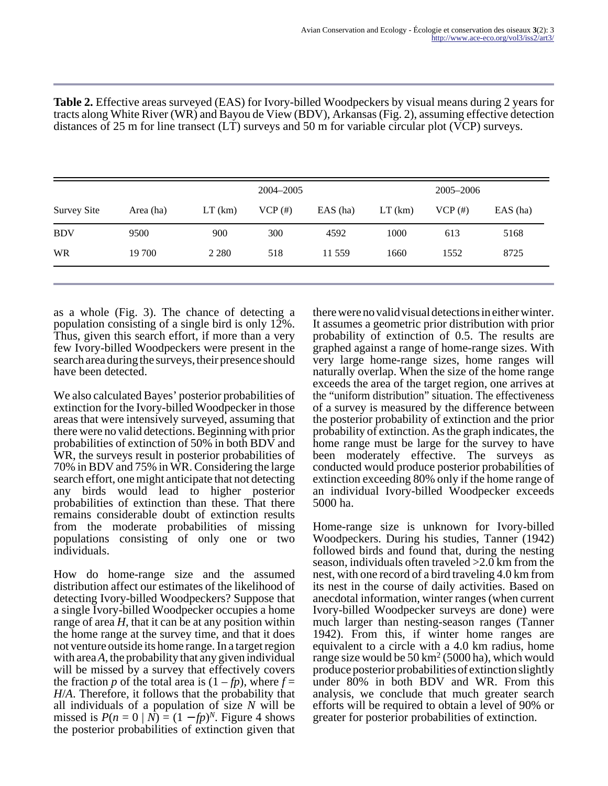|                    |           |           | 2004-2005 |            |           | 2005-2006 |            |
|--------------------|-----------|-----------|-----------|------------|-----------|-----------|------------|
| <b>Survey Site</b> | Area (ha) | $LT$ (km) | $VCP$ (#) | $EAS$ (ha) | $LT$ (km) | $VCP$ (#) | $EAS$ (ha) |
| <b>BDV</b>         | 9500      | 900       | 300       | 4592       | 1000      | 613       | 5168       |
| <b>WR</b>          | 19 700    | 2 2 8 0   | 518       | 11 559     | 1660      | 1552      | 8725       |

**Table 2.** Effective areas surveyed (EAS) for Ivory-billed Woodpeckers by visual means during 2 years for tracts along White River (WR) and Bayou de View (BDV), Arkansas (Fig. 2), assuming effective detection distances of 25 m for line transect (LT) surveys and 50 m for variable circular plot (VCP) surveys.

as a whole (Fig. 3). The chance of detecting a population consisting of a single bird is only 12%. Thus, given this search effort, if more than a very few Ivory-billed Woodpeckers were present in the search area during the surveys, their presence should have been detected.

We also calculated Bayes' posterior probabilities of extinction for the Ivory-billed Woodpecker in those areas that were intensively surveyed, assuming that there were no valid detections. Beginning with prior probabilities of extinction of 50% in both BDV and WR, the surveys result in posterior probabilities of 70% in BDV and 75% in WR. Considering the large search effort, one might anticipate that not detecting any birds would lead to higher posterior probabilities of extinction than these. That there remains considerable doubt of extinction results from the moderate probabilities of missing populations consisting of only one or two individuals.

How do home-range size and the assumed distribution affect our estimates of the likelihood of detecting Ivory-billed Woodpeckers? Suppose that a single Ivory-billed Woodpecker occupies a home range of area  $H$ , that it can be at any position within the home range at the survey time, and that it does not venture outside its home range. In a target region with area A, the probability that any given individual will be missed by a survey that effectively covers the fraction *p* of the total area is  $(1 - fp)$ , where  $f =$ *H*/*A*. Therefore, it follows that the probability that all individuals of a population of size *N* will be missed is  $P(n = 0 | \tilde{N}) = (1 - fp)^N$ . Figure 4 shows the posterior probabilities of extinction given that

there were no valid visual detections in either winter. It assumes a geometric prior distribution with prior probability of extinction of 0.5. The results are graphed against a range of home-range sizes. With very large home-range sizes, home ranges will naturally overlap. When the size of the home range exceeds the area of the target region, one arrives at the "uniform distribution" situation. The effectiveness of a survey is measured by the difference between the posterior probability of extinction and the prior probability of extinction. As the graph indicates, the home range must be large for the survey to have been moderately effective. The surveys as conducted would produce posterior probabilities of extinction exceeding 80% only if the home range of an individual Ivory-billed Woodpecker exceeds 5000 ha.

Home-range size is unknown for Ivory-billed Woodpeckers. During his studies, Tanner (1942) followed birds and found that, during the nesting season, individuals often traveled >2.0 km from the nest, with one record of a bird traveling 4.0 km from its nest in the course of daily activities. Based on anecdotal information, winter ranges (when current Ivory-billed Woodpecker surveys are done) were much larger than nesting-season ranges (Tanner 1942). From this, if winter home ranges are equivalent to a circle with a 4.0 km radius, home range size would be  $50 \text{ km}^2$  (5000 ha), which would produce posterior probabilities of extinction slightly under 80% in both BDV and WR. From this analysis, we conclude that much greater search efforts will be required to obtain a level of 90% or greater for posterior probabilities of extinction.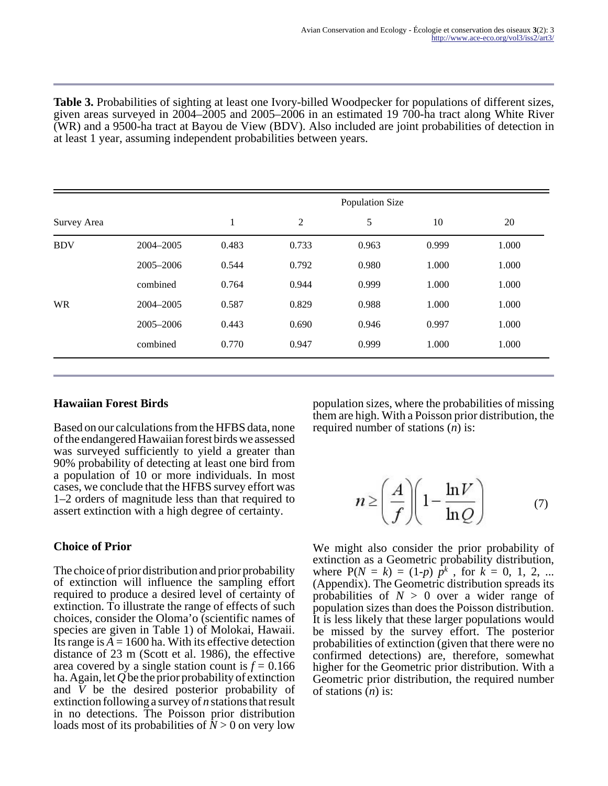**Table 3.** Probabilities of sighting at least one Ivory-billed Woodpecker for populations of different sizes, given areas surveyed in 2004–2005 and 2005–2006 in an estimated 19 700-ha tract along White River (WR) and a 9500-ha tract at Bayou de View (BDV). Also included are joint probabilities of detection in at least 1 year, assuming independent probabilities between years.

|                    |           | Population Size |                |       |       |       |  |  |  |
|--------------------|-----------|-----------------|----------------|-------|-------|-------|--|--|--|
| <b>Survey Area</b> |           | 1               | $\overline{2}$ | 5     | 10    | 20    |  |  |  |
| <b>BDV</b>         | 2004-2005 | 0.483           | 0.733          | 0.963 | 0.999 | 1.000 |  |  |  |
|                    | 2005-2006 | 0.544           | 0.792          | 0.980 | 1.000 | 1.000 |  |  |  |
|                    | combined  | 0.764           | 0.944          | 0.999 | 1.000 | 1.000 |  |  |  |
| <b>WR</b>          | 2004-2005 | 0.587           | 0.829          | 0.988 | 1.000 | 1.000 |  |  |  |
|                    | 2005-2006 | 0.443           | 0.690          | 0.946 | 0.997 | 1.000 |  |  |  |
|                    | combined  | 0.770           | 0.947          | 0.999 | 1.000 | 1.000 |  |  |  |

## **Hawaiian Forest Birds**

Based on our calculations from the HFBS data, none of the endangered Hawaiian forest birds we assessed was surveyed sufficiently to yield a greater than 90% probability of detecting at least one bird from a population of 10 or more individuals. In most cases, we conclude that the HFBS survey effort was 1–2 orders of magnitude less than that required to assert extinction with a high degree of certainty.

## **Choice of Prior**

The choice of prior distribution and prior probability of extinction will influence the sampling effort required to produce a desired level of certainty of extinction. To illustrate the range of effects of such choices, consider the Oloma'o (scientific names of species are given in Table 1) of Molokai, Hawaii. Its range is  $A = 1600$  ha. With its effective detection distance of 23 m (Scott et al. 1986), the effective area covered by a single station count is  $f = 0.166$ ha. Again, let *Q* be the prior probability of extinction and *V* be the desired posterior probability of extinction following a survey of *n* stations that result in no detections. The Poisson prior distribution loads most of its probabilities of  $N > 0$  on very low

population sizes, where the probabilities of missing them are high. With a Poisson prior distribution, the required number of stations (*n*) is:

$$
n \ge \left(\frac{A}{f}\right)\left(1 - \frac{\ln V}{\ln Q}\right) \tag{7}
$$

We might also consider the prior probability of extinction as a Geometric probability distribution, where  $P(N = k) = (1-p) p^k$ , for  $k = 0, 1, 2, ...$ (Appendix). The Geometric distribution spreads its probabilities of  $N > 0$  over a wider range of population sizes than does the Poisson distribution. It is less likely that these larger populations would be missed by the survey effort. The posterior probabilities of extinction (given that there were no confirmed detections) are, therefore, somewhat higher for the Geometric prior distribution. With a Geometric prior distribution, the required number of stations (*n*) is: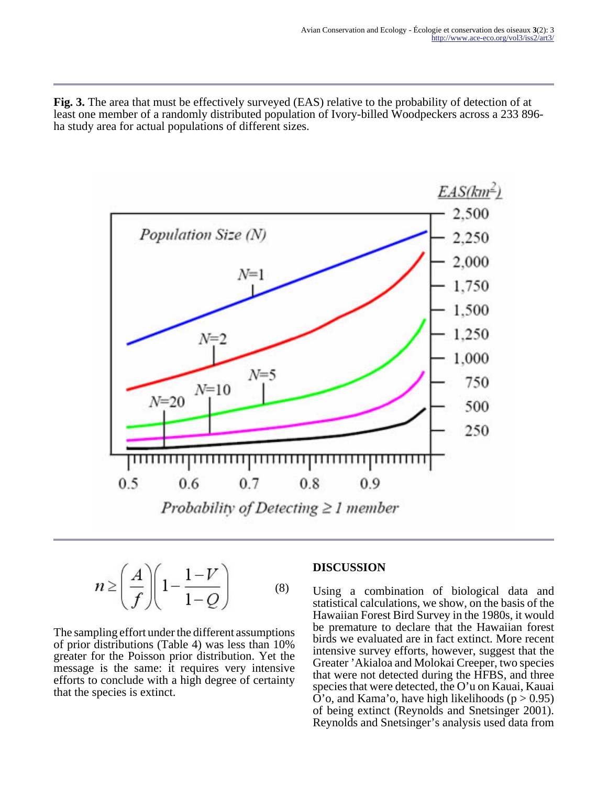**Fig. 3.** The area that must be effectively surveyed (EAS) relative to the probability of detection of at least one member of a randomly distributed population of Ivory-billed Woodpeckers across a 233 896 ha study area for actual populations of different sizes.



$$
n \ge \left(\frac{A}{f}\right)\left(1 - \frac{1 - V}{1 - Q}\right) \tag{8}
$$

The sampling effort under the different assumptions of prior distributions (Table 4) was less than 10% greater for the Poisson prior distribution. Yet the message is the same: it requires very intensive efforts to conclude with a high degree of certainty that the species is extinct.

## **DISCUSSION**

Using a combination of biological data and statistical calculations, we show, on the basis of the Hawaiian Forest Bird Survey in the 1980s, it would be premature to declare that the Hawaiian forest birds we evaluated are in fact extinct. More recent intensive survey efforts, however, suggest that the Greater 'Akialoa and Molokai Creeper, two species that were not detected during the HFBS, and three species that were detected, the O'u on Kauai, Kauai O'o, and Kama'o, have high likelihoods ( $p > 0.95$ ) of being extinct (Reynolds and Snetsinger 2001). Reynolds and Snetsinger's analysis used data from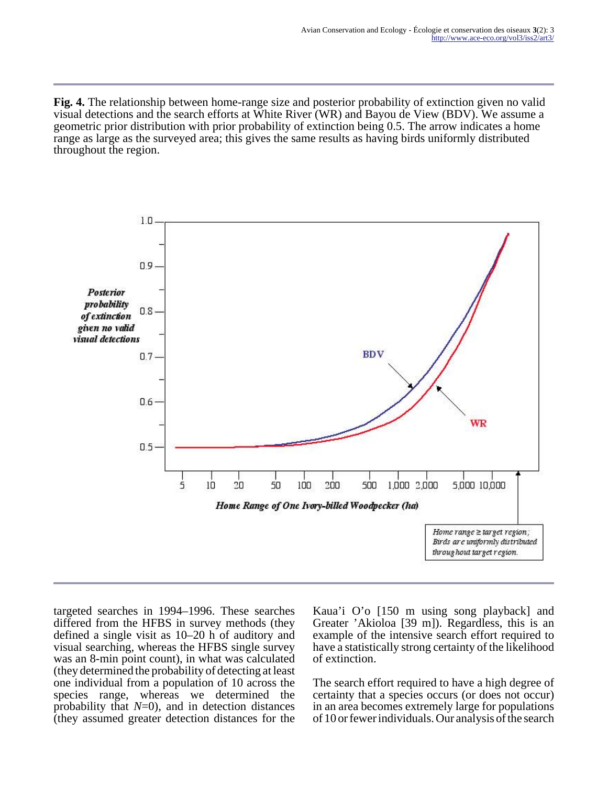**Fig. 4.** The relationship between home-range size and posterior probability of extinction given no valid visual detections and the search efforts at White River (WR) and Bayou de View (BDV). We assume a geometric prior distribution with prior probability of extinction being 0.5. The arrow indicates a home range as large as the surveyed area; this gives the same results as having birds uniformly distributed throughout the region.



targeted searches in 1994–1996. These searches differed from the HFBS in survey methods (they defined a single visit as 10–20 h of auditory and visual searching, whereas the HFBS single survey was an 8-min point count), in what was calculated (they determined the probability of detecting at least one individual from a population of 10 across the species range, whereas we determined the probability that *N*=0), and in detection distances (they assumed greater detection distances for the

Kaua'i O'o [150 m using song playback] and Greater 'Akioloa [39 m]). Regardless, this is an example of the intensive search effort required to have a statistically strong certainty of the likelihood of extinction.

The search effort required to have a high degree of certainty that a species occurs (or does not occur) in an area becomes extremely large for populations of 10 or fewer individuals. Our analysis of the search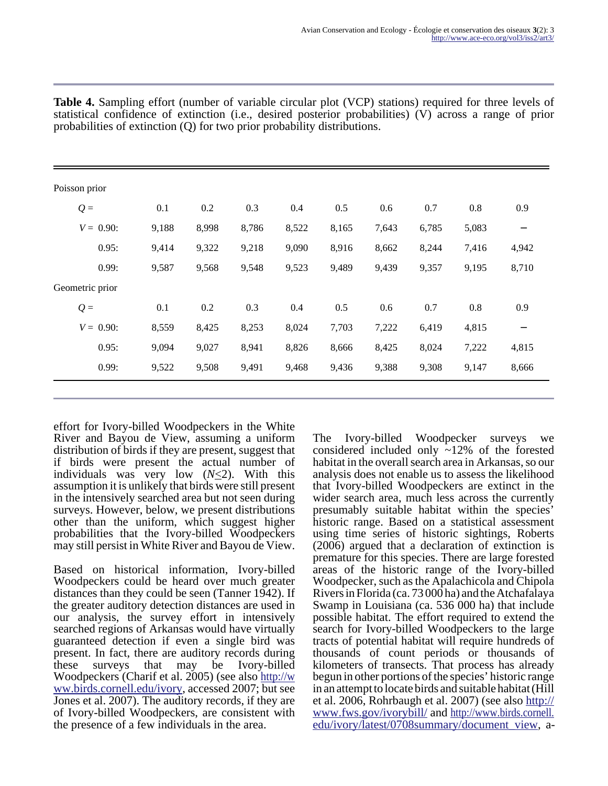| Poisson prior   |       |       |       |       |       |       |       |       |                   |
|-----------------|-------|-------|-------|-------|-------|-------|-------|-------|-------------------|
| $Q =$           | 0.1   | 0.2   | 0.3   | 0.4   | 0.5   | 0.6   | 0.7   | 0.8   | 0.9               |
| $V = 0.90$ :    | 9,188 | 8,998 | 8,786 | 8,522 | 8,165 | 7,643 | 6,785 | 5,083 | $\qquad \qquad -$ |
| 0.95:           | 9,414 | 9,322 | 9,218 | 9,090 | 8,916 | 8,662 | 8,244 | 7,416 | 4,942             |
| 0.99:           | 9,587 | 9,568 | 9,548 | 9,523 | 9,489 | 9,439 | 9,357 | 9,195 | 8,710             |
| Geometric prior |       |       |       |       |       |       |       |       |                   |
| $Q =$           | 0.1   | 0.2   | 0.3   | 0.4   | 0.5   | 0.6   | 0.7   | 0.8   | 0.9               |
| $V = 0.90$ :    | 8,559 | 8,425 | 8,253 | 8,024 | 7,703 | 7,222 | 6,419 | 4,815 | -                 |
| 0.95:           | 9,094 | 9,027 | 8,941 | 8,826 | 8,666 | 8,425 | 8,024 | 7,222 | 4,815             |
| 0.99:           | 9,522 | 9,508 | 9,491 | 9,468 | 9,436 | 9,388 | 9,308 | 9,147 | 8,666             |

**Table 4.** Sampling effort (number of variable circular plot (VCP) stations) required for three levels of statistical confidence of extinction (i.e., desired posterior probabilities) (V) across a range of prior probabilities of extinction (Q) for two prior probability distributions.

effort for Ivory-billed Woodpeckers in the White River and Bayou de View, assuming a uniform distribution of birds if they are present, suggest that if birds were present the actual number of individuals was very low  $(N \leq 2)$ . With this assumption it is unlikely that birds were still present in the intensively searched area but not seen during surveys. However, below, we present distributions other than the uniform, which suggest higher probabilities that the Ivory-billed Woodpeckers may still persist in White River and Bayou de View.

Based on historical information, Ivory-billed Woodpeckers could be heard over much greater distances than they could be seen (Tanner 1942). If the greater auditory detection distances are used in our analysis, the survey effort in intensively searched regions of Arkansas would have virtually guaranteed detection if even a single bird was present. In fact, there are auditory records during these surveys that may be Ivory-billed Woodpeckers (Charif et al. 2005) (see also [http://w](http://www.birds.cornell.edu/ivory) [ww.birds.cornell.edu/ivory,](http://www.birds.cornell.edu/ivory) accessed 2007; but see Jones et al. 2007). The auditory records, if they are of Ivory-billed Woodpeckers, are consistent with the presence of a few individuals in the area.

The Ivory-billed Woodpecker surveys we considered included only ~12% of the forested habitat in the overall search area in Arkansas, so our analysis does not enable us to assess the likelihood that Ivory-billed Woodpeckers are extinct in the wider search area, much less across the currently presumably suitable habitat within the species' historic range. Based on a statistical assessment using time series of historic sightings, Roberts (2006) argued that a declaration of extinction is premature for this species. There are large forested areas of the historic range of the Ivory-billed Woodpecker, such as the Apalachicola and Chipola Rivers in Florida (ca. 73 000 ha) and the Atchafalaya Swamp in Louisiana (ca. 536 000 ha) that include possible habitat. The effort required to extend the search for Ivory-billed Woodpeckers to the large tracts of potential habitat will require hundreds of thousands of count periods or thousands of kilometers of transects. That process has already begun in other portions of the species' historic range in an attempt to locate birds and suitable habitat (Hill et al. 2006, Rohrbaugh et al. 2007) (see also [http://](http://www.fws.gov/ivorybill/) [www.fws.gov/ivorybill/](http://www.fws.gov/ivorybill/) and [http://www.birds.cornell.](http://www.birds.cornell.edu/ivory/latest/0708summary/document_view) [edu/ivory/latest/0708summary/document\\_view,](http://www.birds.cornell.edu/ivory/latest/0708summary/document_view) a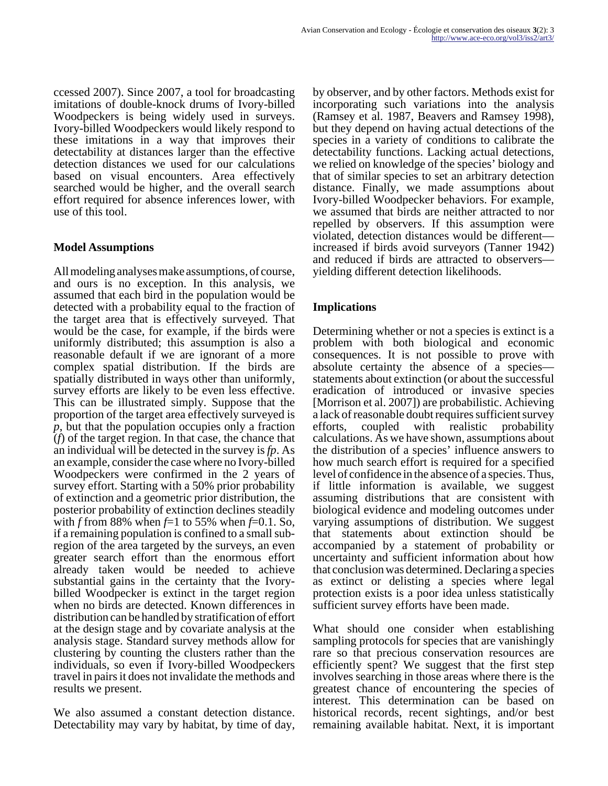ccessed 2007). Since 2007, a tool for broadcasting imitations of double-knock drums of Ivory-billed Woodpeckers is being widely used in surveys. Ivory-billed Woodpeckers would likely respond to these imitations in a way that improves their detectability at distances larger than the effective detection distances we used for our calculations based on visual encounters. Area effectively searched would be higher, and the overall search effort required for absence inferences lower, with use of this tool.

# **Model Assumptions**

All modeling analyses make assumptions, of course, and ours is no exception. In this analysis, we assumed that each bird in the population would be detected with a probability equal to the fraction of the target area that is effectively surveyed. That would be the case, for example, if the birds were uniformly distributed; this assumption is also a reasonable default if we are ignorant of a more complex spatial distribution. If the birds are spatially distributed in ways other than uniformly, survey efforts are likely to be even less effective. This can be illustrated simply. Suppose that the proportion of the target area effectively surveyed is *p*, but that the population occupies only a fraction (*f*) of the target region. In that case, the chance that an individual will be detected in the survey is *fp*. As an example, consider the case where no Ivory-billed Woodpeckers were confirmed in the 2 years of survey effort. Starting with a 50% prior probability of extinction and a geometric prior distribution, the posterior probability of extinction declines steadily with *f* from 88% when *f*=1 to 55% when *f*=0.1. So, if a remaining population is confined to a small subregion of the area targeted by the surveys, an even greater search effort than the enormous effort already taken would be needed to achieve substantial gains in the certainty that the Ivorybilled Woodpecker is extinct in the target region when no birds are detected. Known differences in distribution can be handled by stratification of effort at the design stage and by covariate analysis at the analysis stage. Standard survey methods allow for clustering by counting the clusters rather than the individuals, so even if Ivory-billed Woodpeckers travel in pairs it does not invalidate the methods and results we present.

We also assumed a constant detection distance. Detectability may vary by habitat, by time of day, by observer, and by other factors. Methods exist for incorporating such variations into the analysis (Ramsey et al. 1987, Beavers and Ramsey 1998), but they depend on having actual detections of the species in a variety of conditions to calibrate the detectability functions. Lacking actual detections, we relied on knowledge of the species' biology and that of similar species to set an arbitrary detection distance. Finally, we made assumptions about Ivory-billed Woodpecker behaviors. For example, we assumed that birds are neither attracted to nor repelled by observers. If this assumption were violated, detection distances would be different increased if birds avoid surveyors (Tanner 1942) and reduced if birds are attracted to observers yielding different detection likelihoods.

# **Implications**

Determining whether or not a species is extinct is a problem with both biological and economic consequences. It is not possible to prove with absolute certainty the absence of a species statements about extinction (or about the successful eradication of introduced or invasive species [Morrison et al. 2007]) are probabilistic. Achieving a lack of reasonable doubt requires sufficient survey efforts, coupled with realistic probability calculations. As we have shown, assumptions about the distribution of a species' influence answers to how much search effort is required for a specified level of confidence in the absence of a species. Thus, if little information is available, we suggest assuming distributions that are consistent with biological evidence and modeling outcomes under varying assumptions of distribution. We suggest that statements about extinction should be accompanied by a statement of probability or uncertainty and sufficient information about how that conclusion was determined. Declaring a species as extinct or delisting a species where legal protection exists is a poor idea unless statistically sufficient survey efforts have been made.

What should one consider when establishing sampling protocols for species that are vanishingly rare so that precious conservation resources are efficiently spent? We suggest that the first step involves searching in those areas where there is the greatest chance of encountering the species of interest. This determination can be based on historical records, recent sightings, and/or best remaining available habitat. Next, it is important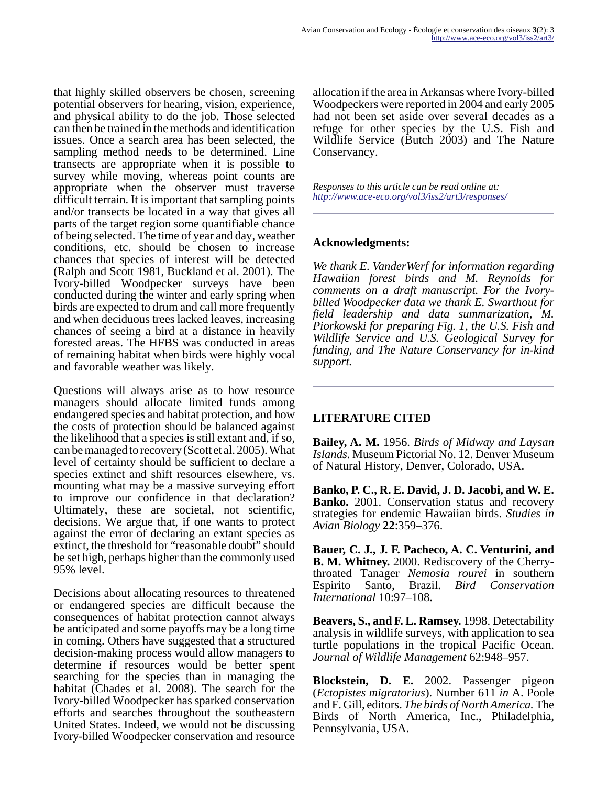that highly skilled observers be chosen, screening potential observers for hearing, vision, experience, and physical ability to do the job. Those selected can then be trained in the methods and identification issues. Once a search area has been selected, the sampling method needs to be determined. Line transects are appropriate when it is possible to survey while moving, whereas point counts are appropriate when the observer must traverse difficult terrain. It is important that sampling points and/or transects be located in a way that gives all parts of the target region some quantifiable chance of being selected. The time of year and day, weather conditions, etc. should be chosen to increase chances that species of interest will be detected (Ralph and Scott 1981, Buckland et al. 2001). The Ivory-billed Woodpecker surveys have been conducted during the winter and early spring when birds are expected to drum and call more frequently and when deciduous trees lacked leaves, increasing chances of seeing a bird at a distance in heavily forested areas. The HFBS was conducted in areas of remaining habitat when birds were highly vocal and favorable weather was likely.

Questions will always arise as to how resource managers should allocate limited funds among endangered species and habitat protection, and how the costs of protection should be balanced against the likelihood that a species is still extant and, if so, can be managed to recovery (Scott et al. 2005). What level of certainty should be sufficient to declare a species extinct and shift resources elsewhere, vs. mounting what may be a massive surveying effort to improve our confidence in that declaration? Ultimately, these are societal, not scientific, decisions. We argue that, if one wants to protect against the error of declaring an extant species as extinct, the threshold for "reasonable doubt" should be set high, perhaps higher than the commonly used 95% level.

Decisions about allocating resources to threatened or endangered species are difficult because the consequences of habitat protection cannot always be anticipated and some payoffs may be a long time in coming. Others have suggested that a structured decision-making process would allow managers to determine if resources would be better spent searching for the species than in managing the habitat (Chades et al. 2008). The search for the Ivory-billed Woodpecker has sparked conservation efforts and searches throughout the southeastern United States. Indeed, we would not be discussing Ivory-billed Woodpecker conservation and resource

allocation if the area in Arkansas where Ivory-billed Woodpeckers were reported in 2004 and early 2005 had not been set aside over several decades as a refuge for other species by the U.S. Fish and Wildlife Service (Butch 2003) and The Nature Conservancy.

*Responses to this article can be read online at: <http://www.ace-eco.org/vol3/iss2/art3/responses/>*

#### **Acknowledgments:**

*We thank E. VanderWerf for information regarding Hawaiian forest birds and M. Reynolds for comments on a draft manuscript. For the Ivorybilled Woodpecker data we thank E. Swarthout for field leadership and data summarization, M. Piorkowski for preparing Fig. 1, the U.S. Fish and Wildlife Service and U.S. Geological Survey for funding, and The Nature Conservancy for in-kind support.*

## **LITERATURE CITED**

**Bailey, A. M.** 1956. *Birds of Midway and Laysan Islands.* Museum Pictorial No. 12. Denver Museum of Natural History, Denver, Colorado, USA.

**Banko, P. C., R. E. David, J. D. Jacobi, and W. E. Banko.** 2001. Conservation status and recovery strategies for endemic Hawaiian birds. *Studies in Avian Biology* **22**:359–376.

**Bauer, C. J., J. F. Pacheco, A. C. Venturini, and B. M. Whitney.** 2000. Rediscovery of the Cherrythroated Tanager *Nemosia rourei* in southern Espirito Santo, Brazil. *Bird Conservation International* 10:97–108.

**Beavers, S., and F. L. Ramsey.** 1998. Detectability analysis in wildlife surveys, with application to sea turtle populations in the tropical Pacific Ocean. *Journal of Wildlife Management* 62:948–957.

**Blockstein, D. E.** 2002. Passenger pigeon (*Ectopistes migratorius*). Number 611 *in* A. Poole and F. Gill, editors. *The birds of North America.* The Birds of North America, Inc., Philadelphia, Pennsylvania, USA.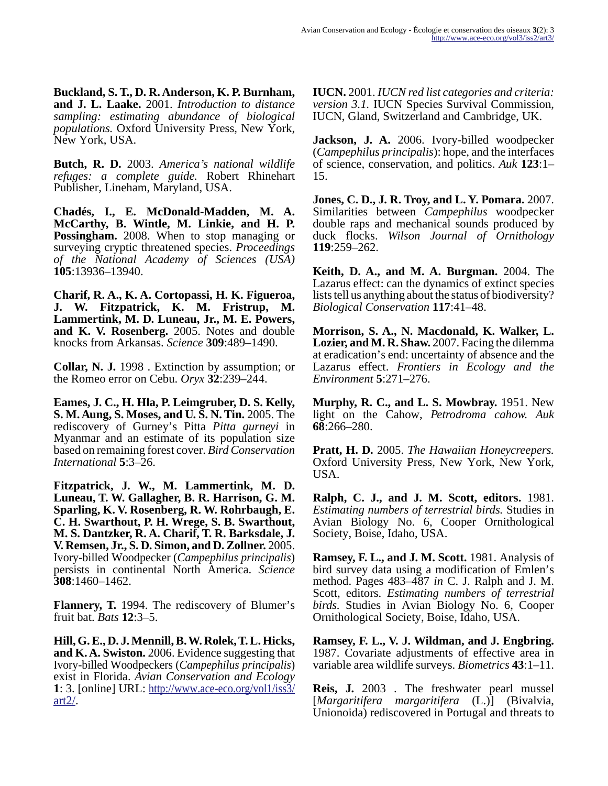**Buckland, S. T., D. R. Anderson, K. P. Burnham, and J. L. Laake.** 2001. *Introduction to distance sampling: estimating abundance of biological populations.* Oxford University Press, New York, New York, USA.

**Butch, R. D.** 2003. *America's national wildlife refuges: a complete guide.* Robert Rhinehart Publisher, Lineham, Maryland, USA.

**Chadés, I., E. McDonald-Madden, M. A. McCarthy, B. Wintle, M. Linkie, and H. P. Possingham.** 2008. When to stop managing or surveying cryptic threatened species. *Proceedings of the National Academy of Sciences (USA)* **105**:13936–13940.

**Charif, R. A., K. A. Cortopassi, H. K. Figueroa, J. W. Fitzpatrick, K. M. Fristrup, M. Lammertink, M. D. Luneau, Jr., M. E. Powers, and K. V. Rosenberg.** 2005. Notes and double knocks from Arkansas. *Science* **309**:489–1490.

**Collar, N. J.** 1998 . Extinction by assumption; or the Romeo error on Cebu. *Oryx* **32**:239–244.

**Eames, J. C., H. Hla, P. Leimgruber, D. S. Kelly, S. M. Aung, S. Moses, and U. S. N. Tin.** 2005. The rediscovery of Gurney's Pitta *Pitta gurneyi* in Myanmar and an estimate of its population size based on remaining forest cover. *Bird Conservation International* **5**:3–26.

**Fitzpatrick, J. W., M. Lammertink, M. D. Luneau, T. W. Gallagher, B. R. Harrison, G. M. Sparling, K. V. Rosenberg, R. W. Rohrbaugh, E. C. H. Swarthout, P. H. Wrege, S. B. Swarthout, M. S. Dantzker, R. A. Charif, T. R. Barksdale, J. V. Remsen, Jr., S. D. Simon, and D. Zollner.** 2005. Ivory-billed Woodpecker (*Campephilus principalis*) persists in continental North America. *Science* **308**:1460–1462.

**Flannery, T.** 1994. The rediscovery of Blumer's fruit bat. *Bats* **12**:3–5.

**Hill, G. E., D. J. Mennill, B. W. Rolek, T. L. Hicks, and K. A. Swiston.** 2006. Evidence suggesting that Ivory-billed Woodpeckers (*Campephilus principalis*) exist in Florida. *Avian Conservation and Ecology* **1**: 3. [online] URL: [http://www.ace-eco.org/vol1/iss3/](http://www.ace-eco.org/vol1/iss3/art2/) [art2/.](http://www.ace-eco.org/vol1/iss3/art2/)

**IUCN.** 2001. *IUCN red list categories and criteria: version 3.1.* IUCN Species Survival Commission, IUCN, Gland, Switzerland and Cambridge, UK.

**Jackson, J. A.** 2006. Ivory-billed woodpecker (*Campephilus principalis*): hope, and the interfaces of science, conservation, and politics. *Auk* **123**:1– 15.

**Jones, C. D., J. R. Troy, and L. Y. Pomara.** 2007. Similarities between *Campephilus* woodpecker double raps and mechanical sounds produced by duck flocks. *Wilson Journal of Ornithology* **119**:259–262.

**Keith, D. A., and M. A. Burgman.** 2004. The Lazarus effect: can the dynamics of extinct species lists tell us anything about the status of biodiversity? *Biological Conservation* **117**:41–48.

**Morrison, S. A., N. Macdonald, K. Walker, L. Lozier, and M. R. Shaw.** 2007. Facing the dilemma at eradication's end: uncertainty of absence and the Lazarus effect. *Frontiers in Ecology and the Environment* **5**:271–276.

**Murphy, R. C., and L. S. Mowbray.** 1951. New light on the Cahow, *Petrodroma cahow. Auk* **68**:266–280.

**Pratt, H. D.** 2005. *The Hawaiian Honeycreepers.* Oxford University Press, New York, New York, USA.

**Ralph, C. J., and J. M. Scott, editors.** 1981. *Estimating numbers of terrestrial birds.* Studies in Avian Biology No. 6, Cooper Ornithological Society, Boise, Idaho, USA.

**Ramsey, F. L., and J. M. Scott.** 1981. Analysis of bird survey data using a modification of Emlen's method. Pages 483–487 *in* C. J. Ralph and J. M. Scott, editors. *Estimating numbers of terrestrial birds.* Studies in Avian Biology No. 6, Cooper Ornithological Society, Boise, Idaho, USA.

**Ramsey, F. L., V. J. Wildman, and J. Engbring.** 1987. Covariate adjustments of effective area in variable area wildlife surveys. *Biometrics* **43**:1–11.

**Reis, J.** 2003 . The freshwater pearl mussel [*Margaritifera margaritifera* (L.)] (Bivalvia, Unionoida) rediscovered in Portugal and threats to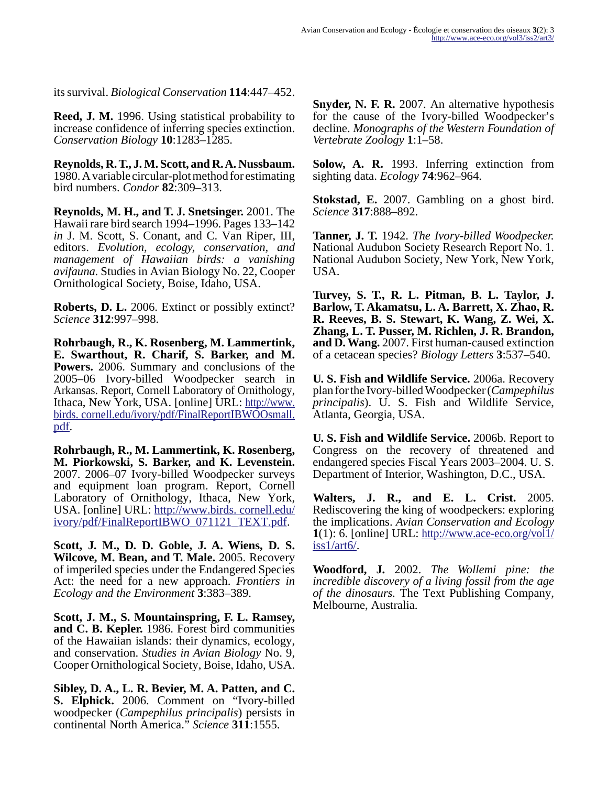its survival. *Biological Conservation* **114**:447–452.

**Reed, J. M.** 1996. Using statistical probability to increase confidence of inferring species extinction. *Conservation Biology* **10**:1283–1285.

**Reynolds, R. T., J. M. Scott, and R. A. Nussbaum.** 1980. A variable circular-plot method for estimating bird numbers. *Condor* **82**:309–313.

**Reynolds, M. H., and T. J. Snetsinger.** 2001. The Hawaii rare bird search 1994–1996. Pages 133–142 *in* J. M. Scott, S. Conant, and C. Van Riper, III, editors. *Evolution, ecology, conservation, and management of Hawaiian birds: a vanishing avifauna.* Studies in Avian Biology No. 22, Cooper Ornithological Society, Boise, Idaho, USA.

**Roberts, D. L.** 2006. Extinct or possibly extinct? *Science* **312**:997–998.

**Rohrbaugh, R., K. Rosenberg, M. Lammertink, E. Swarthout, R. Charif, S. Barker, and M. Powers.** 2006. Summary and conclusions of the 2005–06 Ivory-billed Woodpecker search in Arkansas. Report, Cornell Laboratory of Ornithology, Ithaca, New York, USA. [online] URL: [http://www.](http://www.birds. cornell.edu/ivory/pdf/FinalReportIBWOOsmall.pdf) birds. cornell.edu/ivory/pdf/FinalReportIBWOOsmall. [pdf.](http://www.birds. cornell.edu/ivory/pdf/FinalReportIBWOOsmall.pdf)

**Rohrbaugh, R., M. Lammertink, K. Rosenberg, M. Piorkowski, S. Barker, and K. Levenstein.** 2007. 2006–07 Ivory-billed Woodpecker surveys and equipment loan program. Report, Cornell Laboratory of Ornithology, Ithaca, New York, USA. [online] URL: [http://www.birds. cornell.edu/](http://www.birds. cornell.edu/ivory/pdf/FinalReportIBWO_071121_TEXT.pdf) [ivory/pdf/FinalReportIBWO\\_071121\\_TEXT.pdf.](http://www.birds. cornell.edu/ivory/pdf/FinalReportIBWO_071121_TEXT.pdf)

**Scott, J. M., D. D. Goble, J. A. Wiens, D. S. Wilcove, M. Bean, and T. Male.** 2005. Recovery of imperiled species under the Endangered Species Act: the need for a new approach. *Frontiers in Ecology and the Environment* **3**:383–389.

**Scott, J. M., S. Mountainspring, F. L. Ramsey, and C. B. Kepler.** 1986. Forest bird communities of the Hawaiian islands: their dynamics, ecology, and conservation. *Studies in Avian Biology* No. 9, Cooper Ornithological Society, Boise, Idaho, USA.

**Sibley, D. A., L. R. Bevier, M. A. Patten, and C. S. Elphick.** 2006. Comment on "Ivory-billed woodpecker (*Campephilus principalis*) persists in continental North America." *Science* **311**:1555.

**Snyder, N. F. R.** 2007. An alternative hypothesis for the cause of the Ivory-billed Woodpecker's decline. *Monographs of the Western Foundation of Vertebrate Zoology* **1**:1–58.

**Solow, A. R.** 1993. Inferring extinction from sighting data. *Ecology* **74**:962–964.

**Stokstad, E.** 2007. Gambling on a ghost bird. *Science* **317**:888–892.

**Tanner, J. T.** 1942. *The Ivory-billed Woodpecker.* National Audubon Society Research Report No. 1. National Audubon Society, New York, New York, USA.

**Turvey, S. T., R. L. Pitman, B. L. Taylor, J. Barlow, T. Akamatsu, L. A. Barrett, X. Zhao, R. R. Reeves, B. S. Stewart, K. Wang, Z. Wei, X. Zhang, L. T. Pusser, M. Richlen, J. R. Brandon, and D. Wang.** 2007. First human-caused extinction of a cetacean species? *Biology Letters* **3**:537–540.

**U. S. Fish and Wildlife Service.** 2006a. Recovery plan for the Ivory-billed Woodpecker (*Campephilus principalis*). U. S. Fish and Wildlife Service, Atlanta, Georgia, USA.

**U. S. Fish and Wildlife Service.** 2006b. Report to Congress on the recovery of threatened and endangered species Fiscal Years 2003–2004. U. S. Department of Interior, Washington, D.C., USA.

**Walters, J. R., and E. L. Crist.** 2005. Rediscovering the king of woodpeckers: exploring the implications. *Avian Conservation and Ecology* **1**(1): 6. [online] URL:  $\frac{http://www.ace-eco.org/vol1}{$ [iss1/art6/](http://www.ace-eco.org/vol1/iss1/art6/).

**Woodford, J.** 2002. *The Wollemi pine: the incredible discovery of a living fossil from the age of the dinosaurs.* The Text Publishing Company, Melbourne, Australia.